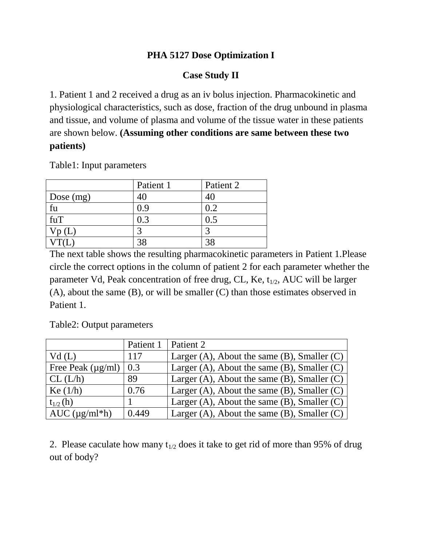#### **PHA 5127 Dose Optimization I**

### **Case Study II**

1. Patient 1 and 2 received a drug as an iv bolus injection. Pharmacokinetic and physiological characteristics, such as dose, fraction of the drug unbound in plasma and tissue, and volume of plasma and volume of the tissue water in these patients are shown below. **(Assuming other conditions are same between these two patients)**

|             | Patient 1 | Patient 2 |
|-------------|-----------|-----------|
| Dose $(mg)$ |           |           |
| fu          | 0.9       | 0.2       |
| fuT         | 0.3       | 0.5       |
|             |           |           |
|             |           | 3S        |

Table1: Input parameters

The next table shows the resulting pharmacokinetic parameters in Patient 1.Please circle the correct options in the column of patient 2 for each parameter whether the parameter Vd, Peak concentration of free drug, CL, Ke,  $t_{1/2}$ , AUC will be larger (A), about the same (B), or will be smaller (C) than those estimates observed in Patient 1.

Table2: Output parameters

|                        | Patient 1 | Patient 2                                           |
|------------------------|-----------|-----------------------------------------------------|
| Vd(L)                  | 117       | Larger $(A)$ , About the same $(B)$ , Smaller $(C)$ |
| Free Peak $(\mu g/ml)$ | 0.3       | Larger (A), About the same $(B)$ , Smaller $(C)$    |
| CL (L/h)               | 89        | Larger $(A)$ , About the same $(B)$ , Smaller $(C)$ |
| Ke $(1/h)$             | 0.76      | Larger $(A)$ , About the same $(B)$ , Smaller $(C)$ |
| $t_{1/2}$ (h)          |           | Larger $(A)$ , About the same $(B)$ , Smaller $(C)$ |
| $AUC$ ( $\mu$ g/ml*h)  | 0.449     | Larger (A), About the same $(B)$ , Smaller $(C)$    |

2. Please caculate how many  $t_{1/2}$  does it take to get rid of more than 95% of drug out of body?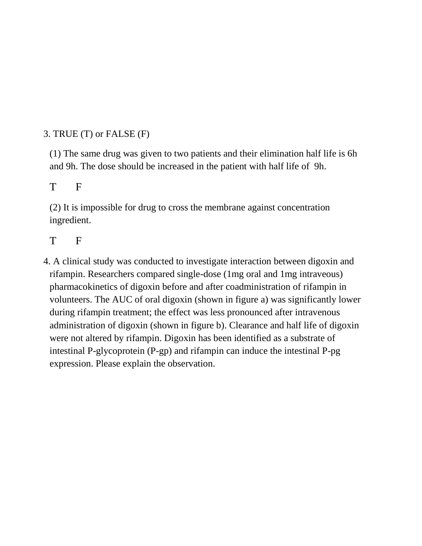# 3. TRUE (T) or FALSE (F)

(1) The same drug was given to two patients and their elimination half life is 6h and 9h. The dose should be increased in the patient with half life of 9h.

## T F

(2) It is impossible for drug to cross the membrane against concentration ingredient.

### T F

4. A clinical study was conducted to investigate interaction between digoxin and rifampin. Researchers compared single-dose (1mg oral and 1mg intraveous) pharmacokinetics of digoxin before and after coadministration of rifampin in volunteers. The AUC of oral digoxin (shown in figure a) was significantly lower during rifampin treatment; the effect was less pronounced after intravenous administration of digoxin (shown in figure b). Clearance and half life of digoxin were not altered by rifampin. Digoxin has been identified as a substrate of intestinal P-glycoprotein (P-gp) and rifampin can induce the intestinal P-pg expression. Please explain the observation.